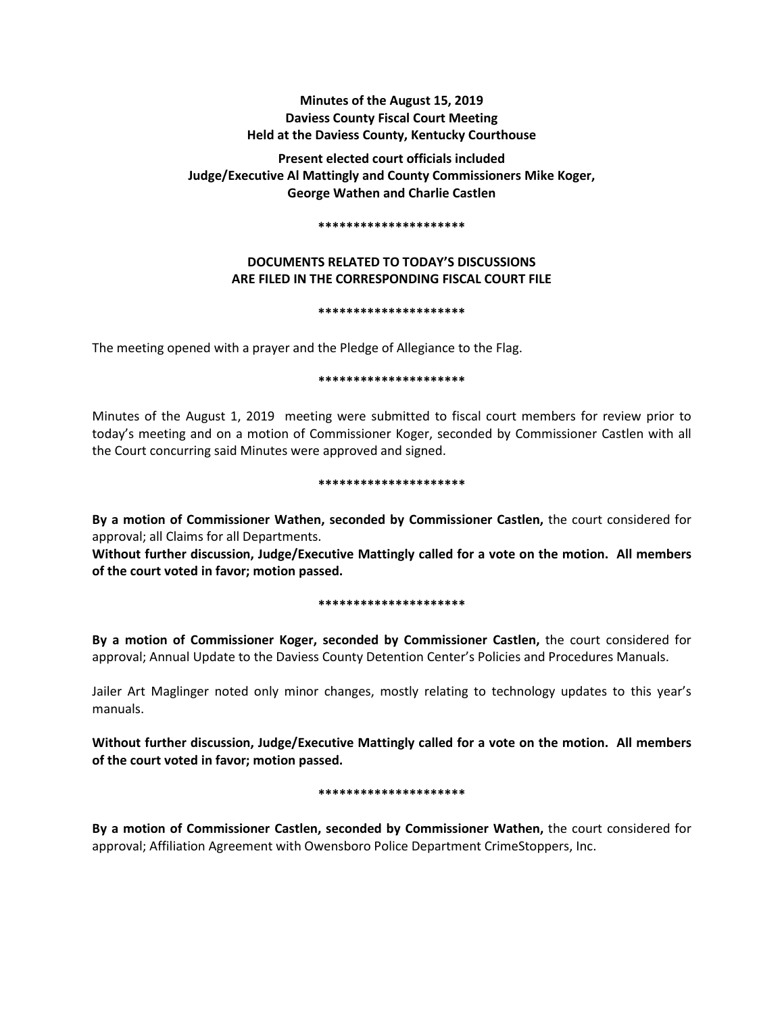# **Minutes of the August 15, 2019 Daviess County Fiscal Court Meeting Held at the Daviess County, Kentucky Courthouse**

**Present elected court officials included Judge/Executive Al Mattingly and County Commissioners Mike Koger, George Wathen and Charlie Castlen** 

#### **\*\*\*\*\*\*\*\*\*\*\*\*\*\*\*\*\*\*\*\*\***

# **DOCUMENTS RELATED TO TODAY'S DISCUSSIONS ARE FILED IN THE CORRESPONDING FISCAL COURT FILE**

### **\*\*\*\*\*\*\*\*\*\*\*\*\*\*\*\*\*\*\*\*\***

The meeting opened with a prayer and the Pledge of Allegiance to the Flag.

### **\*\*\*\*\*\*\*\*\*\*\*\*\*\*\*\*\*\*\*\*\***

Minutes of the August 1, 2019 meeting were submitted to fiscal court members for review prior to today's meeting and on a motion of Commissioner Koger, seconded by Commissioner Castlen with all the Court concurring said Minutes were approved and signed.

### **\*\*\*\*\*\*\*\*\*\*\*\*\*\*\*\*\*\*\*\*\***

**By a motion of Commissioner Wathen, seconded by Commissioner Castlen,** the court considered for approval; all Claims for all Departments.

**Without further discussion, Judge/Executive Mattingly called for a vote on the motion. All members of the court voted in favor; motion passed.** 

### **\*\*\*\*\*\*\*\*\*\*\*\*\*\*\*\*\*\*\*\*\***

**By a motion of Commissioner Koger, seconded by Commissioner Castlen,** the court considered for approval; Annual Update to the Daviess County Detention Center's Policies and Procedures Manuals.

Jailer Art Maglinger noted only minor changes, mostly relating to technology updates to this year's manuals.

**Without further discussion, Judge/Executive Mattingly called for a vote on the motion. All members of the court voted in favor; motion passed.** 

## **\*\*\*\*\*\*\*\*\*\*\*\*\*\*\*\*\*\*\*\*\***

**By a motion of Commissioner Castlen, seconded by Commissioner Wathen,** the court considered for approval; Affiliation Agreement with Owensboro Police Department CrimeStoppers, Inc.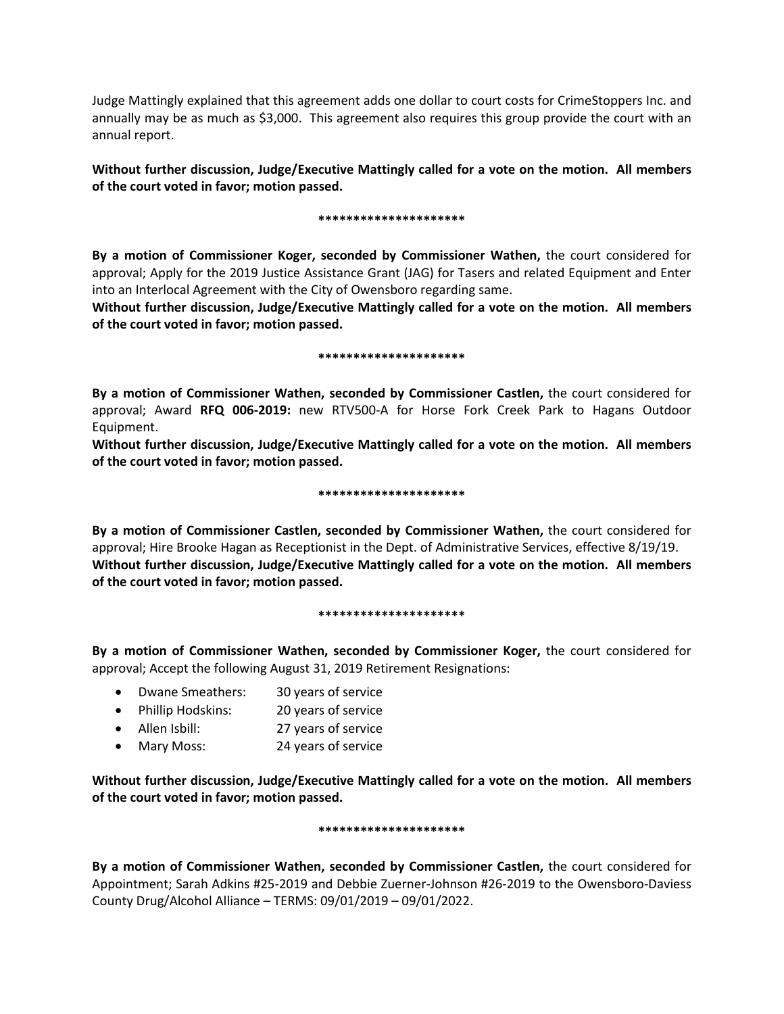Judge Mattingly explained that this agreement adds one dollar to court costs for CrimeStoppers Inc. and annually may be as much as \$3,000. This agreement also requires this group provide the court with an annual report.

**Without further discussion, Judge/Executive Mattingly called for a vote on the motion. All members of the court voted in favor; motion passed.** 

## **\*\*\*\*\*\*\*\*\*\*\*\*\*\*\*\*\*\*\*\*\***

**By a motion of Commissioner Koger, seconded by Commissioner Wathen,** the court considered for approval; Apply for the 2019 Justice Assistance Grant (JAG) for Tasers and related Equipment and Enter into an Interlocal Agreement with the City of Owensboro regarding same.

**Without further discussion, Judge/Executive Mattingly called for a vote on the motion. All members of the court voted in favor; motion passed.** 

## **\*\*\*\*\*\*\*\*\*\*\*\*\*\*\*\*\*\*\*\*\***

**By a motion of Commissioner Wathen, seconded by Commissioner Castlen,** the court considered for approval; Award **RFQ 006-2019:** new RTV500-A for Horse Fork Creek Park to Hagans Outdoor Equipment.

**Without further discussion, Judge/Executive Mattingly called for a vote on the motion. All members of the court voted in favor; motion passed.** 

## **\*\*\*\*\*\*\*\*\*\*\*\*\*\*\*\*\*\*\*\*\***

**By a motion of Commissioner Castlen, seconded by Commissioner Wathen,** the court considered for approval; Hire Brooke Hagan as Receptionist in the Dept. of Administrative Services, effective 8/19/19. **Without further discussion, Judge/Executive Mattingly called for a vote on the motion. All members of the court voted in favor; motion passed.** 

### **\*\*\*\*\*\*\*\*\*\*\*\*\*\*\*\*\*\*\*\*\***

**By a motion of Commissioner Wathen, seconded by Commissioner Koger,** the court considered for approval; Accept the following August 31, 2019 Retirement Resignations:

- Dwane Smeathers: 30 years of service
- Phillip Hodskins: 20 years of service
- Allen Isbill: 27 years of service
- Mary Moss: 24 years of service

**Without further discussion, Judge/Executive Mattingly called for a vote on the motion. All members of the court voted in favor; motion passed.** 

## **\*\*\*\*\*\*\*\*\*\*\*\*\*\*\*\*\*\*\*\*\***

**By a motion of Commissioner Wathen, seconded by Commissioner Castlen,** the court considered for Appointment; Sarah Adkins #25-2019 and Debbie Zuerner-Johnson #26-2019 to the Owensboro-Daviess County Drug/Alcohol Alliance – TERMS: 09/01/2019 – 09/01/2022.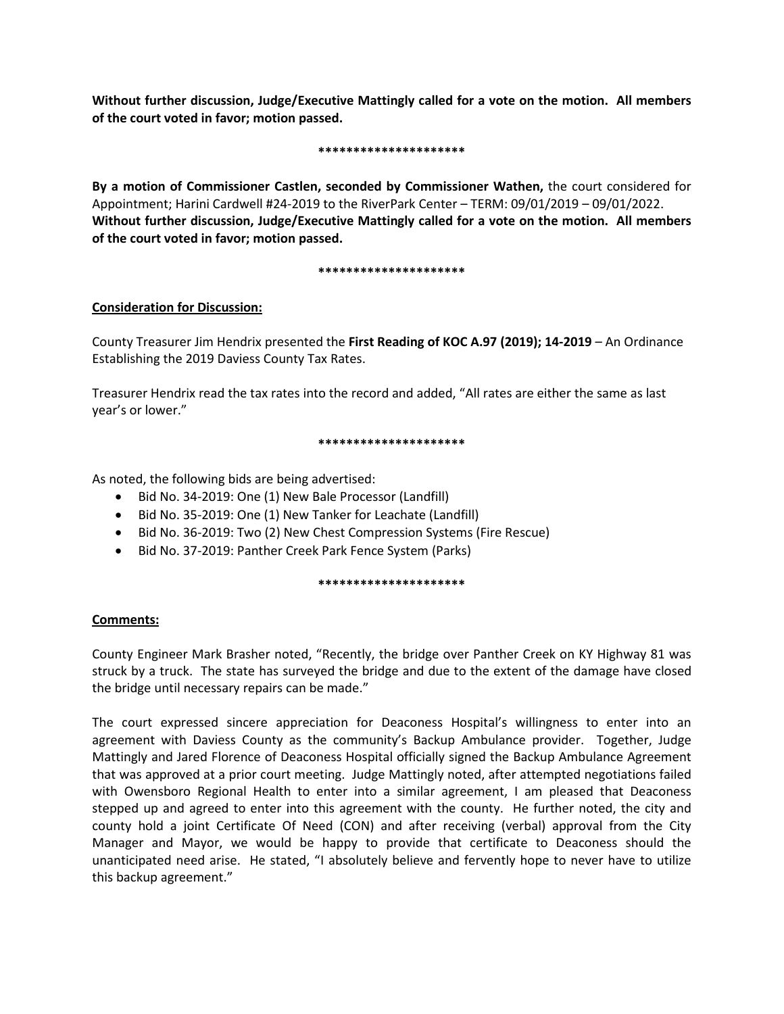**Without further discussion, Judge/Executive Mattingly called for a vote on the motion. All members of the court voted in favor; motion passed.** 

## **\*\*\*\*\*\*\*\*\*\*\*\*\*\*\*\*\*\*\*\*\***

**By a motion of Commissioner Castlen, seconded by Commissioner Wathen,** the court considered for Appointment; Harini Cardwell #24-2019 to the RiverPark Center – TERM: 09/01/2019 – 09/01/2022. **Without further discussion, Judge/Executive Mattingly called for a vote on the motion. All members of the court voted in favor; motion passed.** 

## **\*\*\*\*\*\*\*\*\*\*\*\*\*\*\*\*\*\*\*\*\***

# **Consideration for Discussion:**

County Treasurer Jim Hendrix presented the **First Reading of KOC A.97 (2019); 14-2019** – An Ordinance Establishing the 2019 Daviess County Tax Rates.

Treasurer Hendrix read the tax rates into the record and added, "All rates are either the same as last year's or lower."

## **\*\*\*\*\*\*\*\*\*\*\*\*\*\*\*\*\*\*\*\*\***

As noted, the following bids are being advertised:

- Bid No. 34-2019: One (1) New Bale Processor (Landfill)
- Bid No. 35-2019: One (1) New Tanker for Leachate (Landfill)
- Bid No. 36-2019: Two (2) New Chest Compression Systems (Fire Rescue)
- Bid No. 37-2019: Panther Creek Park Fence System (Parks)

### **\*\*\*\*\*\*\*\*\*\*\*\*\*\*\*\*\*\*\*\*\***

# **Comments:**

County Engineer Mark Brasher noted, "Recently, the bridge over Panther Creek on KY Highway 81 was struck by a truck. The state has surveyed the bridge and due to the extent of the damage have closed the bridge until necessary repairs can be made."

The court expressed sincere appreciation for Deaconess Hospital's willingness to enter into an agreement with Daviess County as the community's Backup Ambulance provider. Together, Judge Mattingly and Jared Florence of Deaconess Hospital officially signed the Backup Ambulance Agreement that was approved at a prior court meeting. Judge Mattingly noted, after attempted negotiations failed with Owensboro Regional Health to enter into a similar agreement, I am pleased that Deaconess stepped up and agreed to enter into this agreement with the county. He further noted, the city and county hold a joint Certificate Of Need (CON) and after receiving (verbal) approval from the City Manager and Mayor, we would be happy to provide that certificate to Deaconess should the unanticipated need arise. He stated, "I absolutely believe and fervently hope to never have to utilize this backup agreement."